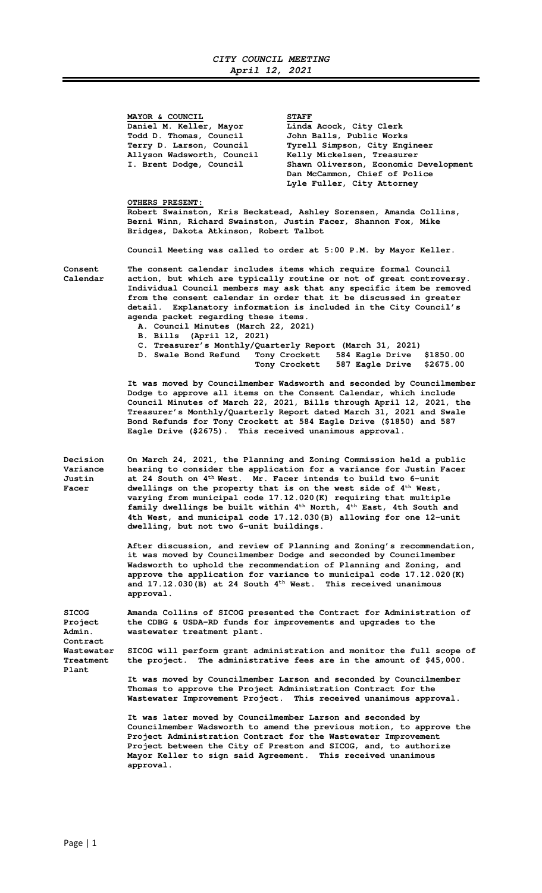**MAYOR & COUNCIL STAFF** Daniel M. Keller, Mayor **Linda Acock, City Clerk Todd D. Thomas, Council John Balls, Public Works Allyson Wadsworth, Council Kelly Mickelsen, Treasurer** 

Tyrell Simpson, City Engineer Shawn Oliverson, Economic Development  **Dan McCammon, Chief of Police Lyle Fuller, City Attorney** 

 **OTHERS PRESENT:** 

**Robert Swainston, Kris Beckstead, Ashley Sorensen, Amanda Collins, Berni Winn, Richard Swainston, Justin Facer, Shannon Fox, Mike Bridges, Dakota Atkinson, Robert Talbot** 

**Council Meeting was called to order at 5:00 P.M. by Mayor Keller.** 

**Consent The consent calendar includes items which require formal Council Calendar action, but which are typically routine or not of great controversy. Individual Council members may ask that any specific item be removed from the consent calendar in order that it be discussed in greater detail. Explanatory information is included in the City Council's agenda packet regarding these items.** 

- **A. Council Minutes (March 22, 2021)**
- **B. Bills (April 12, 2021)**
- **C. Treasurer's Monthly/Quarterly Report (March 31, 2021) Tony Crockett** 584 Eagle Drive<br> **Tony Crockett** 587 Eagle Drive  **Tony Crockett 587 Eagle Drive \$2675.00**

 **It was moved by Councilmember Wadsworth and seconded by Councilmember Dodge to approve all items on the Consent Calendar, which include Council Minutes of March 22, 2021, Bills through April 12, 2021, the Treasurer's Monthly/Quarterly Report dated March 31, 2021 and Swale Bond Refunds for Tony Crockett at 584 Eagle Drive (\$1850) and 587 Eagle Drive (\$2675). This received unanimous approval.** 

**Decision On March 24, 2021, the Planning and Zoning Commission held a public Variance hearing to consider the application for a variance for Justin Facer Justin at 24 South on 4th West. Mr. Facer intends to build two 6-unit Facer dwellings on the property that is on the west side of 4th West, varying from municipal code 17.12.020(K) requiring that multiple family dwellings be built within 4th North, 4th East, 4th South and 4th West, and municipal code 17.12.030(B) allowing for one 12-unit dwelling, but not two 6-unit buildings.** 

> **After discussion, and review of Planning and Zoning's recommendation, it was moved by Councilmember Dodge and seconded by Councilmember Wadsworth to uphold the recommendation of Planning and Zoning, and approve the application for variance to municipal code 17.12.020(K) and 17.12.030(B) at 24 South 4th West. This received unanimous approval.**

**SICOG Amanda Collins of SICOG presented the Contract for Administration of Project the CDBG & USDA-RD funds for improvements and upgrades to the Admin. wastewater treatment plant. Contract Wastewater SICOG will perform grant administration and monitor the full scope of Treatment the project. The administrative fees are in the amount of \$45,000. Plant** 

> **It was moved by Councilmember Larson and seconded by Councilmember Thomas to approve the Project Administration Contract for the Wastewater Improvement Project. This received unanimous approval.**

 **It was later moved by Councilmember Larson and seconded by Councilmember Wadsworth to amend the previous motion, to approve the Project Administration Contract for the Wastewater Improvement Project between the City of Preston and SICOG, and, to authorize Mayor Keller to sign said Agreement. This received unanimous approval.**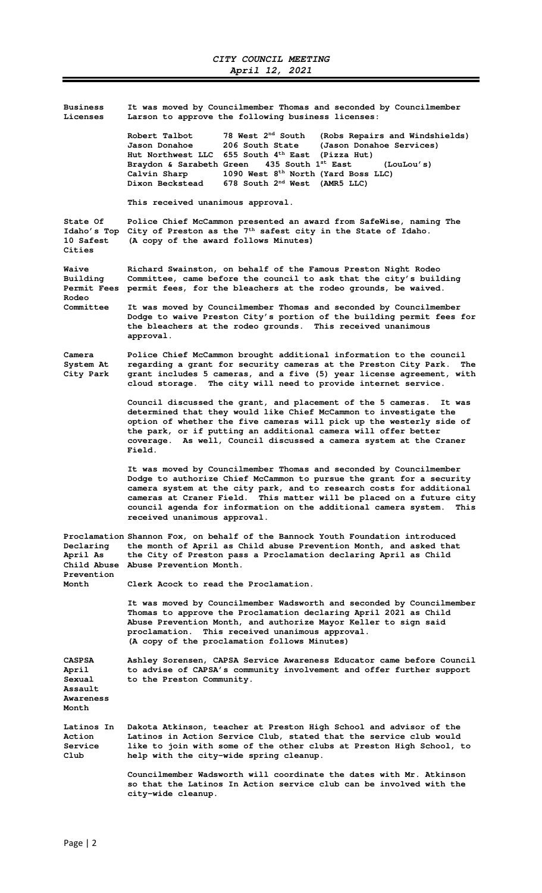| <b>Business</b><br>Licenses                                          | It was moved by Councilmember Thomas and seconded by Councilmember<br>Larson to approve the following business licenses:                                                                                                                                                                                                                                                                                   |
|----------------------------------------------------------------------|------------------------------------------------------------------------------------------------------------------------------------------------------------------------------------------------------------------------------------------------------------------------------------------------------------------------------------------------------------------------------------------------------------|
|                                                                      | 78 West 2 <sup>nd</sup> South<br>Robert Talbot<br>(Robs Repairs and Windshields)<br>Jason Donahoe<br>206 South State<br>(Jason Donahoe Services)<br>Hut Northwest LLC 655 South 4th East<br>(Pizza Hut)<br>435 South 1st East<br>Braydon & Sarabeth Green<br>(LouLou's)<br>1090 West 8 <sup>th</sup> North (Yard Boss LLC)<br>Calvin Sharp<br>Dixon Beckstead<br>678 South 2 <sup>nd</sup> West (AMR5 LLC) |
|                                                                      | This received unanimous approval.                                                                                                                                                                                                                                                                                                                                                                          |
| State Of<br>Idaho's Top<br>10 Safest<br>Cities                       | Police Chief McCammon presented an award from SafeWise, naming The<br>City of Preston as the 7 <sup>th</sup> safest city in the State of Idaho.<br>(A copy of the award follows Minutes)                                                                                                                                                                                                                   |
| <b>Waive</b><br>Building<br><b>Permit Fees</b><br>Rodeo<br>Committee | Richard Swainston, on behalf of the Famous Preston Night Rodeo<br>Committee, came before the council to ask that the city's building<br>permit fees, for the bleachers at the rodeo grounds, be waived.                                                                                                                                                                                                    |
|                                                                      | It was moved by Councilmember Thomas and seconded by Councilmember<br>Dodge to waive Preston City's portion of the building permit fees for<br>the bleachers at the rodeo grounds. This received unanimous<br>approval.                                                                                                                                                                                    |
| Camera<br>System At<br>City Park                                     | Police Chief McCammon brought additional information to the council<br>regarding a grant for security cameras at the Preston City Park.<br>The<br>grant includes 5 cameras, and a five (5) year license agreement, with<br>cloud storage. The city will need to provide internet service.                                                                                                                  |
|                                                                      | Council discussed the grant, and placement of the 5 cameras.<br>It was<br>determined that they would like Chief McCammon to investigate the<br>option of whether the five cameras will pick up the westerly side of<br>the park, or if putting an additional camera will offer better<br>coverage. As well, Council discussed a camera system at the Craner<br>Field.                                      |
|                                                                      | It was moved by Councilmember Thomas and seconded by Councilmember<br>Dodge to authorize Chief McCammon to pursue the grant for a security<br>camera system at the city park, and to research costs for additional<br>cameras at Craner Field. This matter will be placed on a future city<br>council agenda for information on the additional camera system.<br>This<br>received unanimous approval.      |
| Declaring<br>April As<br>Prevention<br>Month                         | Proclamation Shannon Fox, on behalf of the Bannock Youth Foundation introduced<br>the month of April as Child abuse Prevention Month, and asked that<br>the City of Preston pass a Proclamation declaring April as Child<br>Child Abuse Abuse Prevention Month.                                                                                                                                            |
|                                                                      | Clerk Acock to read the Proclamation.                                                                                                                                                                                                                                                                                                                                                                      |
|                                                                      | It was moved by Councilmember Wadsworth and seconded by Councilmember<br>Thomas to approve the Proclamation declaring April 2021 as Child<br>Abuse Prevention Month, and authorize Mayor Keller to sign said<br>proclamation. This received unanimous approval.<br>(A copy of the proclamation follows Minutes)                                                                                            |
| <b>CASPSA</b><br>April<br>Sexual<br>Assault<br>Awareness<br>Month    | Ashley Sorensen, CAPSA Service Awareness Educator came before Council<br>to advise of CAPSA's community involvement and offer further support<br>to the Preston Community.                                                                                                                                                                                                                                 |
| Latinos In<br>Action<br>Service<br>Club                              | Dakota Atkinson, teacher at Preston High School and advisor of the<br>Latinos in Action Service Club, stated that the service club would<br>like to join with some of the other clubs at Preston High School, to<br>help with the city-wide spring cleanup.                                                                                                                                                |
|                                                                      | Councilmember Wadsworth will coordinate the dates with Mr. Atkinson<br>so that the Latinos In Action service club can be involved with the<br>city-wide cleanup.                                                                                                                                                                                                                                           |